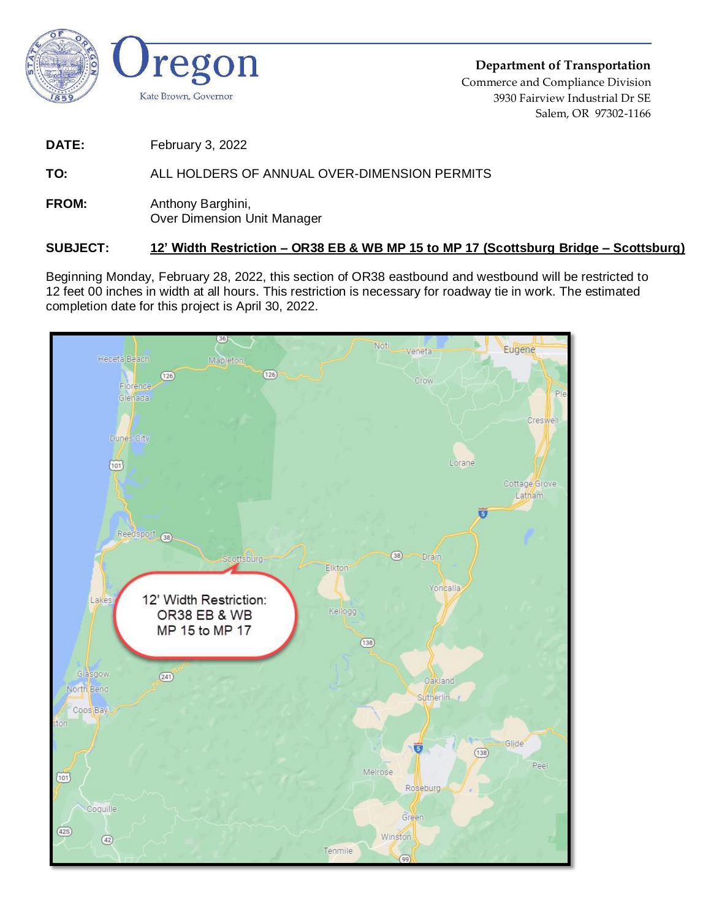

**Department of Transportation** Commerce and Compliance Division 3930 Fairview Industrial Dr SE Salem, OR 97302-1166

**DATE:** February 3, 2022

## **TO:** ALL HOLDERS OF ANNUAL OVER-DIMENSION PERMITS

**FROM:** Anthony Barghini, Over Dimension Unit Manager

## **SUBJECT: 12' Width Restriction – OR38 EB & WB MP 15 to MP 17 (Scottsburg Bridge – Scottsburg)**

Beginning Monday, February 28, 2022, this section of OR38 eastbound and westbound will be restricted to 12 feet 00 inches in width at all hours. This restriction is necessary for roadway tie in work. The estimated completion date for this project is April 30, 2022.